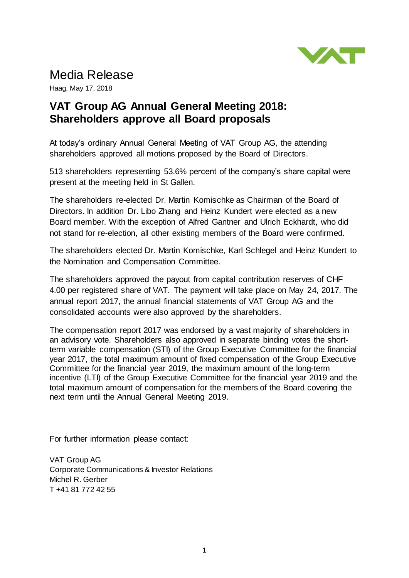

## Media Release

Haag, May 17, 2018

## **VAT Group AG Annual General Meeting 2018: Shareholders approve all Board proposals**

At today's ordinary Annual General Meeting of VAT Group AG, the attending shareholders approved all motions proposed by the Board of Directors.

513 shareholders representing 53.6% percent of the company's share capital were present at the meeting held in St Gallen.

The shareholders re-elected Dr. Martin Komischke as Chairman of the Board of Directors. In addition Dr. Libo Zhang and Heinz Kundert were elected as a new Board member. With the exception of Alfred Gantner and Ulrich Eckhardt, who did not stand for re-election, all other existing members of the Board were confirmed.

The shareholders elected Dr. Martin Komischke, Karl Schlegel and Heinz Kundert to the Nomination and Compensation Committee.

The shareholders approved the payout from capital contribution reserves of CHF 4.00 per registered share of VAT. The payment will take place on May 24, 2017. The annual report 2017, the annual financial statements of VAT Group AG and the consolidated accounts were also approved by the shareholders.

The compensation report 2017 was endorsed by a vast majority of shareholders in an advisory vote. Shareholders also approved in separate binding votes the shortterm variable compensation (STI) of the Group Executive Committee for the financial year 2017, the total maximum amount of fixed compensation of the Group Executive Committee for the financial year 2019, the maximum amount of the long-term incentive (LTI) of the Group Executive Committee for the financial year 2019 and the total maximum amount of compensation for the members of the Board covering the next term until the Annual General Meeting 2019.

For further information please contact:

VAT Group AG Corporate Communications & Investor Relations Michel R. Gerber T +41 81 772 42 55